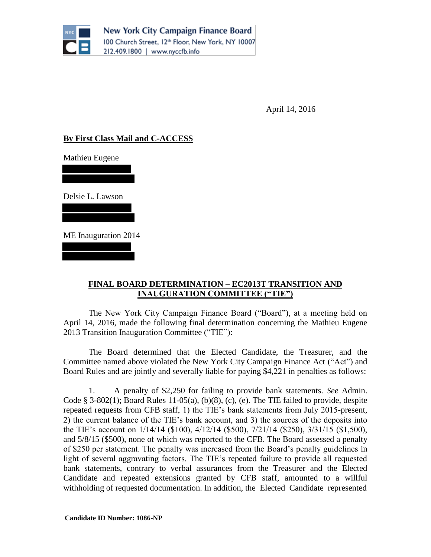

New York City Campaign Finance Board 100 Church Street, 12th Floor, New York, NY 10007 212.409.1800 | www.nyccfb.info

April 14, 2016

## **By First Class Mail and C-ACCESS**

Mathieu Eugene

Delsie L. Lawson

ME Inauguration 2014

## **FINAL BOARD DETERMINATION – EC2013T TRANSITION AND INAUGURATION COMMITTEE ("TIE")**

The New York City Campaign Finance Board ("Board"), at a meeting held on April 14, 2016, made the following final determination concerning the Mathieu Eugene 2013 Transition Inauguration Committee ("TIE"):

The Board determined that the Elected Candidate, the Treasurer, and the Committee named above violated the New York City Campaign Finance Act ("Act") and Board Rules and are jointly and severally liable for paying \$4,221 in penalties as follows:

1. A penalty of \$2,250 for failing to provide bank statements. *See* Admin. Code  $\S$  3-802(1); Board Rules 11-05(a), (b)(8), (c), (e). The TIE failed to provide, despite repeated requests from CFB staff, 1) the TIE's bank statements from July 2015-present, 2) the current balance of the TIE's bank account, and 3) the sources of the deposits into the TIE's account on 1/14/14 (\$100), 4/12/14 (\$500), 7/21/14 (\$250), 3/31/15 (\$1,500), and 5/8/15 (\$500), none of which was reported to the CFB. The Board assessed a penalty of \$250 per statement. The penalty was increased from the Board's penalty guidelines in light of several aggravating factors. The TIE's repeated failure to provide all requested bank statements, contrary to verbal assurances from the Treasurer and the Elected Candidate and repeated extensions granted by CFB staff, amounted to a willful withholding of requested documentation. In addition, the Elected Candidate represented

 **Candidate ID Number: 1086-NP**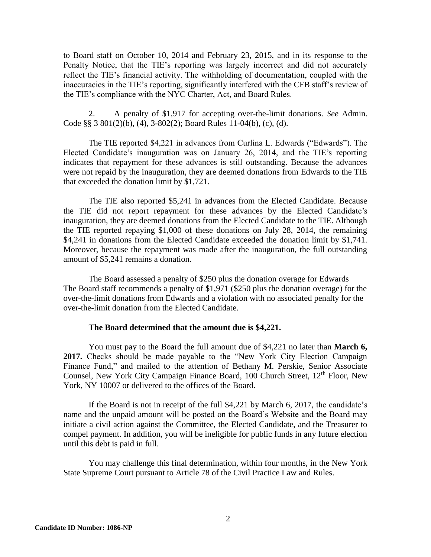to Board staff on October 10, 2014 and February 23, 2015, and in its response to the Penalty Notice, that the TIE's reporting was largely incorrect and did not accurately reflect the TIE's financial activity. The withholding of documentation, coupled with the inaccuracies in the TIE's reporting, significantly interfered with the CFB staff's review of the TIE's compliance with the NYC Charter, Act, and Board Rules.

2. A penalty of \$1,917 for accepting over-the-limit donations. *See* Admin. Code §§ 3 801(2)(b), (4), 3-802(2); Board Rules 11-04(b), (c), (d).

The TIE reported \$4,221 in advances from Curlina L. Edwards ("Edwards"). The Elected Candidate's inauguration was on January 26, 2014, and the TIE's reporting indicates that repayment for these advances is still outstanding. Because the advances were not repaid by the inauguration, they are deemed donations from Edwards to the TIE that exceeded the donation limit by \$1,721.

The TIE also reported \$5,241 in advances from the Elected Candidate. Because the TIE did not report repayment for these advances by the Elected Candidate's inauguration, they are deemed donations from the Elected Candidate to the TIE. Although the TIE reported repaying \$1,000 of these donations on July 28, 2014, the remaining \$4,241 in donations from the Elected Candidate exceeded the donation limit by \$1,741. Moreover, because the repayment was made after the inauguration, the full outstanding amount of \$5,241 remains a donation.

The Board assessed a penalty of \$250 plus the donation overage for Edwards The Board staff recommends a penalty of \$1,971 (\$250 plus the donation overage) for the over-the-limit donations from Edwards and a violation with no associated penalty for the over-the-limit donation from the Elected Candidate.

## **The Board determined that the amount due is \$4,221.**

You must pay to the Board the full amount due of \$4,221 no later than **March 6, 2017.** Checks should be made payable to the "New York City Election Campaign Finance Fund," and mailed to the attention of Bethany M. Perskie, Senior Associate Counsel, New York City Campaign Finance Board, 100 Church Street, 12<sup>th</sup> Floor, New York, NY 10007 or delivered to the offices of the Board.

If the Board is not in receipt of the full \$4,221 by March 6, 2017, the candidate's name and the unpaid amount will be posted on the Board's Website and the Board may initiate a civil action against the Committee, the Elected Candidate, and the Treasurer to compel payment. In addition, you will be ineligible for public funds in any future election until this debt is paid in full.

You may challenge this final determination, within four months, in the New York State Supreme Court pursuant to Article 78 of the Civil Practice Law and Rules.